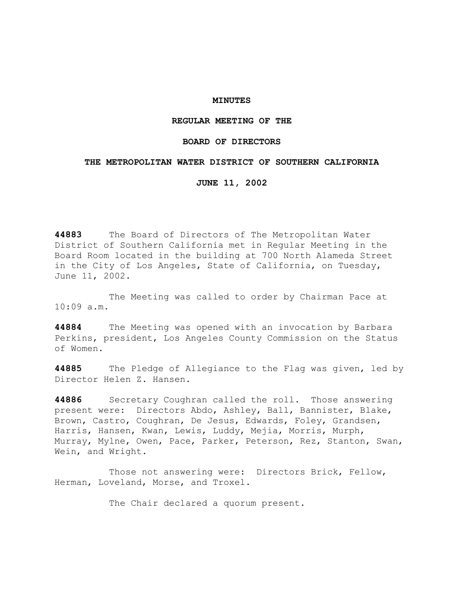### **MINUTES**

## **REGULAR MEETING OF THE**

### **BOARD OF DIRECTORS**

### **THE METROPOLITAN WATER DISTRICT OF SOUTHERN CALIFORNIA**

**JUNE 11, 2002** 

**44883** The Board of Directors of The Metropolitan Water District of Southern California met in Regular Meeting in the Board Room located in the building at 700 North Alameda Street in the City of Los Angeles, State of California, on Tuesday, June 11, 2002.

 The Meeting was called to order by Chairman Pace at 10:09 a.m.

**44884** The Meeting was opened with an invocation by Barbara Perkins, president, Los Angeles County Commission on the Status of Women.

**44885** The Pledge of Allegiance to the Flag was given, led by Director Helen Z. Hansen.

**44886** Secretary Coughran called the roll. Those answering present were: Directors Abdo, Ashley, Ball, Bannister, Blake, Brown, Castro, Coughran, De Jesus, Edwards, Foley, Grandsen, Harris, Hansen, Kwan, Lewis, Luddy, Mejia, Morris, Murph, Murray, Mylne, Owen, Pace, Parker, Peterson, Rez, Stanton, Swan, Wein, and Wright.

 Those not answering were: Directors Brick, Fellow, Herman, Loveland, Morse, and Troxel.

The Chair declared a quorum present.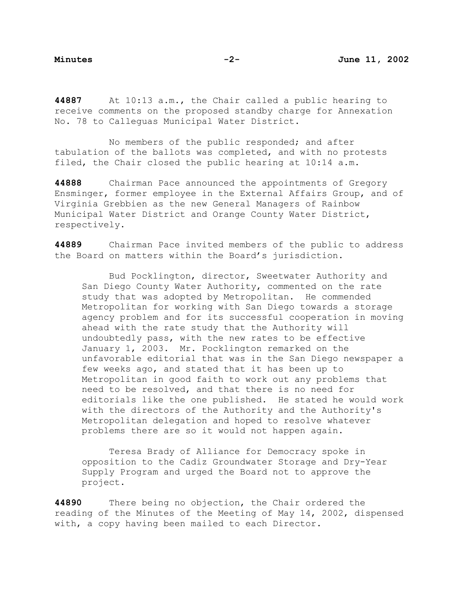**44887** At 10:13 a.m., the Chair called a public hearing to receive comments on the proposed standby charge for Annexation No. 78 to Calleguas Municipal Water District.

 No members of the public responded; and after tabulation of the ballots was completed, and with no protests filed, the Chair closed the public hearing at 10:14 a.m.

**44888** Chairman Pace announced the appointments of Gregory Ensminger, former employee in the External Affairs Group, and of Virginia Grebbien as the new General Managers of Rainbow Municipal Water District and Orange County Water District, respectively.

**44889** Chairman Pace invited members of the public to address the Board on matters within the Board's jurisdiction.

 Bud Pocklington, director, Sweetwater Authority and San Diego County Water Authority, commented on the rate study that was adopted by Metropolitan. He commended Metropolitan for working with San Diego towards a storage agency problem and for its successful cooperation in moving ahead with the rate study that the Authority will undoubtedly pass, with the new rates to be effective January 1, 2003. Mr. Pocklington remarked on the unfavorable editorial that was in the San Diego newspaper a few weeks ago, and stated that it has been up to Metropolitan in good faith to work out any problems that need to be resolved, and that there is no need for editorials like the one published. He stated he would work with the directors of the Authority and the Authority's Metropolitan delegation and hoped to resolve whatever problems there are so it would not happen again.

 Teresa Brady of Alliance for Democracy spoke in opposition to the Cadiz Groundwater Storage and Dry-Year Supply Program and urged the Board not to approve the project.

**44890** There being no objection, the Chair ordered the reading of the Minutes of the Meeting of May 14, 2002, dispensed with, a copy having been mailed to each Director.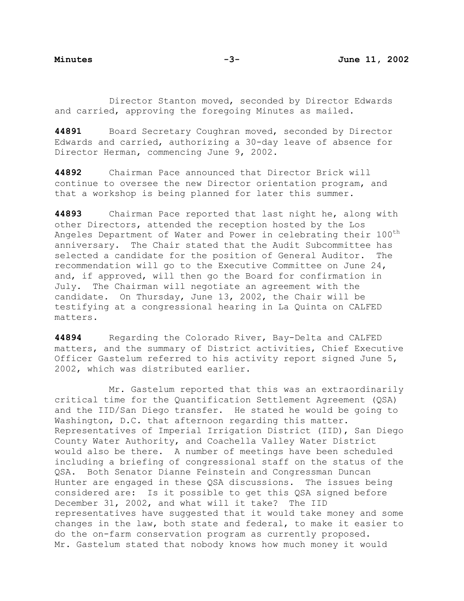Director Stanton moved, seconded by Director Edwards and carried, approving the foregoing Minutes as mailed.

**44891** Board Secretary Coughran moved, seconded by Director Edwards and carried, authorizing a 30-day leave of absence for Director Herman, commencing June 9, 2002.

**44892** Chairman Pace announced that Director Brick will continue to oversee the new Director orientation program, and that a workshop is being planned for later this summer.

**44893** Chairman Pace reported that last night he, along with other Directors, attended the reception hosted by the Los Angeles Department of Water and Power in celebrating their 100<sup>th</sup> anniversary. The Chair stated that the Audit Subcommittee has selected a candidate for the position of General Auditor. The recommendation will go to the Executive Committee on June 24, and, if approved, will then go the Board for confirmation in July. The Chairman will negotiate an agreement with the candidate. On Thursday, June 13, 2002, the Chair will be testifying at a congressional hearing in La Quinta on CALFED matters.

**44894** Regarding the Colorado River, Bay-Delta and CALFED matters, and the summary of District activities, Chief Executive Officer Gastelum referred to his activity report signed June 5, 2002, which was distributed earlier.

 Mr. Gastelum reported that this was an extraordinarily critical time for the Quantification Settlement Agreement (QSA) and the IID/San Diego transfer. He stated he would be going to Washington, D.C. that afternoon regarding this matter. Representatives of Imperial Irrigation District (IID), San Diego County Water Authority, and Coachella Valley Water District would also be there. A number of meetings have been scheduled including a briefing of congressional staff on the status of the QSA. Both Senator Dianne Feinstein and Congressman Duncan Hunter are engaged in these QSA discussions. The issues being considered are: Is it possible to get this QSA signed before December 31, 2002, and what will it take? The IID representatives have suggested that it would take money and some changes in the law, both state and federal, to make it easier to do the on-farm conservation program as currently proposed. Mr. Gastelum stated that nobody knows how much money it would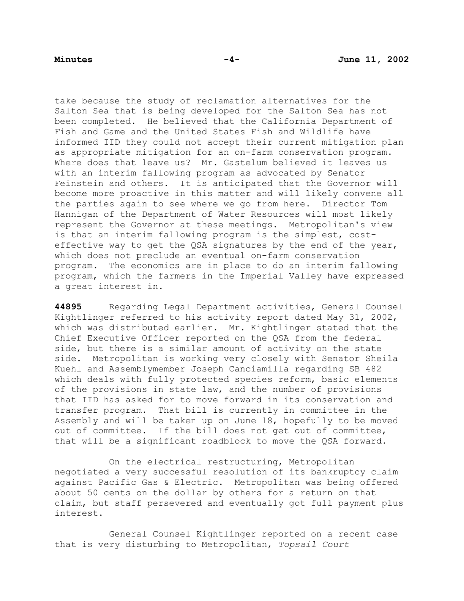take because the study of reclamation alternatives for the Salton Sea that is being developed for the Salton Sea has not been completed. He believed that the California Department of Fish and Game and the United States Fish and Wildlife have informed IID they could not accept their current mitigation plan as appropriate mitigation for an on-farm conservation program. Where does that leave us? Mr. Gastelum believed it leaves us with an interim fallowing program as advocated by Senator Feinstein and others. It is anticipated that the Governor will become more proactive in this matter and will likely convene all the parties again to see where we go from here. Director Tom Hannigan of the Department of Water Resources will most likely represent the Governor at these meetings. Metropolitan's view is that an interim fallowing program is the simplest, costeffective way to get the QSA signatures by the end of the year, which does not preclude an eventual on-farm conservation program. The economics are in place to do an interim fallowing program, which the farmers in the Imperial Valley have expressed a great interest in.

**44895** Regarding Legal Department activities, General Counsel Kightlinger referred to his activity report dated May 31, 2002, which was distributed earlier. Mr. Kightlinger stated that the Chief Executive Officer reported on the QSA from the federal side, but there is a similar amount of activity on the state side. Metropolitan is working very closely with Senator Sheila Kuehl and Assemblymember Joseph Canciamilla regarding SB 482 which deals with fully protected species reform, basic elements of the provisions in state law, and the number of provisions that IID has asked for to move forward in its conservation and transfer program. That bill is currently in committee in the Assembly and will be taken up on June 18, hopefully to be moved out of committee. If the bill does not get out of committee, that will be a significant roadblock to move the QSA forward.

 On the electrical restructuring, Metropolitan negotiated a very successful resolution of its bankruptcy claim against Pacific Gas & Electric. Metropolitan was being offered about 50 cents on the dollar by others for a return on that claim, but staff persevered and eventually got full payment plus interest.

 General Counsel Kightlinger reported on a recent case that is very disturbing to Metropolitan, *Topsail Court*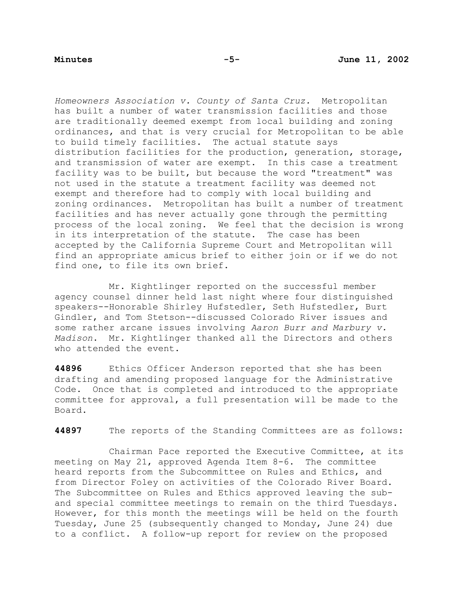*Homeowners Association v. County of Santa Cruz.* Metropolitan has built a number of water transmission facilities and those are traditionally deemed exempt from local building and zoning ordinances, and that is very crucial for Metropolitan to be able to build timely facilities. The actual statute says distribution facilities for the production, generation, storage, and transmission of water are exempt. In this case a treatment facility was to be built, but because the word "treatment" was not used in the statute a treatment facility was deemed not exempt and therefore had to comply with local building and zoning ordinances. Metropolitan has built a number of treatment facilities and has never actually gone through the permitting process of the local zoning. We feel that the decision is wrong in its interpretation of the statute. The case has been accepted by the California Supreme Court and Metropolitan will find an appropriate amicus brief to either join or if we do not find one, to file its own brief.

 Mr. Kightlinger reported on the successful member agency counsel dinner held last night where four distinguished speakers--Honorable Shirley Hufstedler, Seth Hufstedler, Burt Gindler, and Tom Stetson--discussed Colorado River issues and some rather arcane issues involving *Aaron Burr and Marbury v. Madison*. Mr. Kightlinger thanked all the Directors and others who attended the event.

**44896** Ethics Officer Anderson reported that she has been drafting and amending proposed language for the Administrative Code. Once that is completed and introduced to the appropriate committee for approval, a full presentation will be made to the Board.

**44897** The reports of the Standing Committees are as follows:

Chairman Pace reported the Executive Committee, at its meeting on May 21, approved Agenda Item 8-6. The committee heard reports from the Subcommittee on Rules and Ethics, and from Director Foley on activities of the Colorado River Board. The Subcommittee on Rules and Ethics approved leaving the suband special committee meetings to remain on the third Tuesdays. However, for this month the meetings will be held on the fourth Tuesday, June 25 (subsequently changed to Monday, June 24) due to a conflict. A follow-up report for review on the proposed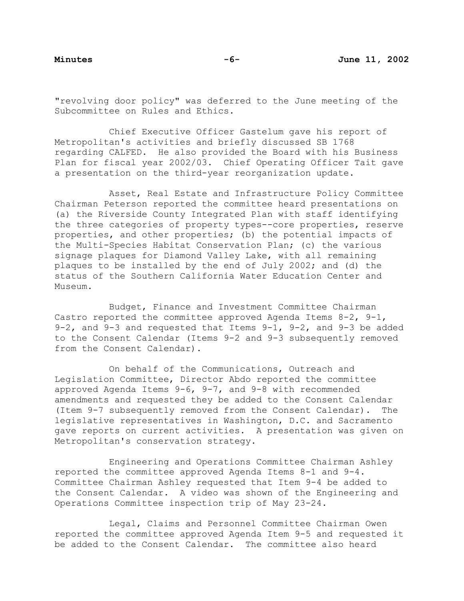"revolving door policy" was deferred to the June meeting of the Subcommittee on Rules and Ethics.

 Chief Executive Officer Gastelum gave his report of Metropolitan's activities and briefly discussed SB 1768 regarding CALFED. He also provided the Board with his Business Plan for fiscal year 2002/03. Chief Operating Officer Tait gave a presentation on the third-year reorganization update.

 Asset, Real Estate and Infrastructure Policy Committee Chairman Peterson reported the committee heard presentations on (a) the Riverside County Integrated Plan with staff identifying the three categories of property types--core properties, reserve properties, and other properties; (b) the potential impacts of the Multi-Species Habitat Conservation Plan; (c) the various signage plaques for Diamond Valley Lake, with all remaining plaques to be installed by the end of July 2002; and (d) the status of the Southern California Water Education Center and Museum.

 Budget, Finance and Investment Committee Chairman Castro reported the committee approved Agenda Items 8-2, 9-1, 9-2, and 9-3 and requested that Items 9-1, 9-2, and 9-3 be added to the Consent Calendar (Items 9-2 and 9-3 subsequently removed from the Consent Calendar).

 On behalf of the Communications, Outreach and Legislation Committee, Director Abdo reported the committee approved Agenda Items 9-6, 9-7, and 9-8 with recommended amendments and requested they be added to the Consent Calendar (Item 9-7 subsequently removed from the Consent Calendar). The legislative representatives in Washington, D.C. and Sacramento gave reports on current activities. A presentation was given on Metropolitan's conservation strategy.

 Engineering and Operations Committee Chairman Ashley reported the committee approved Agenda Items 8-1 and 9-4. Committee Chairman Ashley requested that Item 9-4 be added to the Consent Calendar. A video was shown of the Engineering and Operations Committee inspection trip of May 23-24.

 Legal, Claims and Personnel Committee Chairman Owen reported the committee approved Agenda Item 9-5 and requested it be added to the Consent Calendar. The committee also heard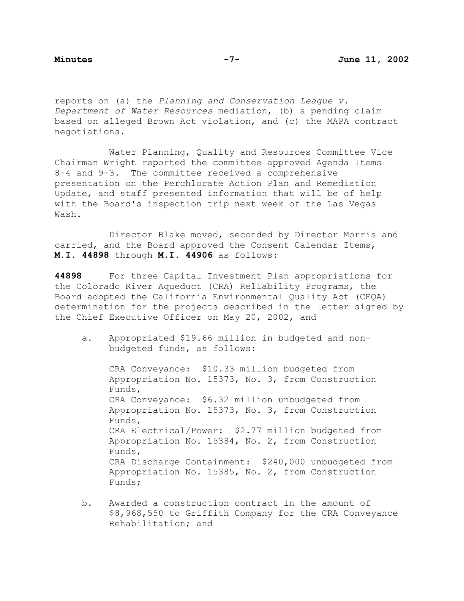reports on (a) the *Planning and Conservation League v. Department of Water Resources* mediation, (b) a pending claim based on alleged Brown Act violation, and (c) the MAPA contract negotiations.

 Water Planning, Quality and Resources Committee Vice Chairman Wright reported the committee approved Agenda Items 8-4 and 9-3. The committee received a comprehensive presentation on the Perchlorate Action Plan and Remediation Update, and staff presented information that will be of help with the Board's inspection trip next week of the Las Vegas Wash.

 Director Blake moved, seconded by Director Morris and carried, and the Board approved the Consent Calendar Items, **M.I. 44898** through **M.I. 44906** as follows:

**44898** For three Capital Investment Plan appropriations for the Colorado River Aqueduct (CRA) Reliability Programs, the Board adopted the California Environmental Quality Act (CEQA) determination for the projects described in the letter signed by the Chief Executive Officer on May 20, 2002, and

a. Appropriated \$19.66 million in budgeted and nonbudgeted funds, as follows:

 CRA Conveyance: \$10.33 million budgeted from Appropriation No. 15373, No. 3, from Construction Funds, CRA Conveyance: \$6.32 million unbudgeted from Appropriation No. 15373, No. 3, from Construction Funds, CRA Electrical/Power: \$2.77 million budgeted from Appropriation No. 15384, No. 2, from Construction Funds, CRA Discharge Containment: \$240,000 unbudgeted from Appropriation No. 15385, No. 2, from Construction Funds;

b. Awarded a construction contract in the amount of \$8,968,550 to Griffith Company for the CRA Conveyance Rehabilitation; and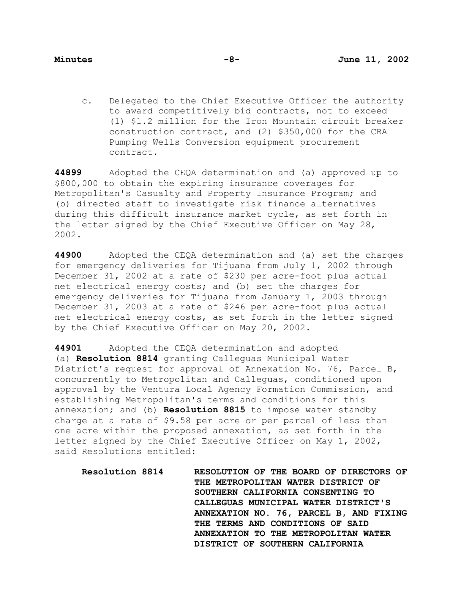c. Delegated to the Chief Executive Officer the authority to award competitively bid contracts, not to exceed (1) \$1.2 million for the Iron Mountain circuit breaker construction contract, and (2) \$350,000 for the CRA Pumping Wells Conversion equipment procurement contract.

**44899** Adopted the CEQA determination and (a) approved up to \$800,000 to obtain the expiring insurance coverages for Metropolitan's Casualty and Property Insurance Program; and (b) directed staff to investigate risk finance alternatives during this difficult insurance market cycle, as set forth in the letter signed by the Chief Executive Officer on May 28, 2002.

**44900** Adopted the CEQA determination and (a) set the charges for emergency deliveries for Tijuana from July 1, 2002 through December 31, 2002 at a rate of \$230 per acre-foot plus actual net electrical energy costs; and (b) set the charges for emergency deliveries for Tijuana from January 1, 2003 through December 31, 2003 at a rate of \$246 per acre-foot plus actual net electrical energy costs, as set forth in the letter signed by the Chief Executive Officer on May 20, 2002.

**44901** Adopted the CEQA determination and adopted (a) **Resolution 8814** granting Calleguas Municipal Water District's request for approval of Annexation No. 76, Parcel B, concurrently to Metropolitan and Calleguas, conditioned upon approval by the Ventura Local Agency Formation Commission, and establishing Metropolitan's terms and conditions for this annexation; and (b) **Resolution 8815** to impose water standby charge at a rate of \$9.58 per acre or per parcel of less than one acre within the proposed annexation, as set forth in the letter signed by the Chief Executive Officer on May 1, 2002, said Resolutions entitled:

**Resolution 8814 RESOLUTION OF THE BOARD OF DIRECTORS OF THE METROPOLITAN WATER DISTRICT OF SOUTHERN CALIFORNIA CONSENTING TO CALLEGUAS MUNICIPAL WATER DISTRICT'S ANNEXATION NO. 76, PARCEL B, AND FIXING THE TERMS AND CONDITIONS OF SAID ANNEXATION TO THE METROPOLITAN WATER DISTRICT OF SOUTHERN CALIFORNIA**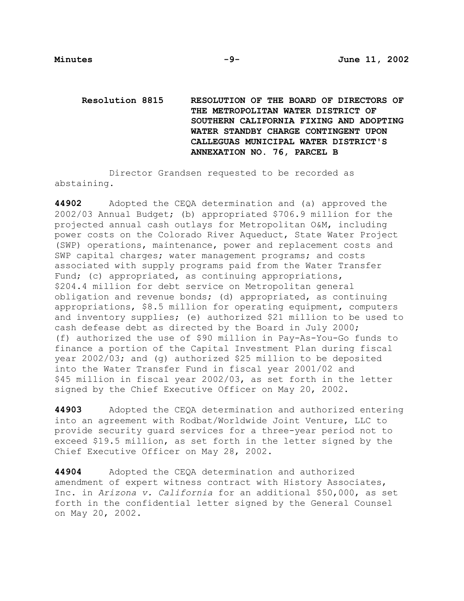**Resolution 8815 RESOLUTION OF THE BOARD OF DIRECTORS OF THE METROPOLITAN WATER DISTRICT OF SOUTHERN CALIFORNIA FIXING AND ADOPTING WATER STANDBY CHARGE CONTINGENT UPON CALLEGUAS MUNICIPAL WATER DISTRICT'S ANNEXATION NO. 76, PARCEL B** 

 Director Grandsen requested to be recorded as abstaining.

**44902** Adopted the CEQA determination and (a) approved the 2002/03 Annual Budget; (b) appropriated \$706.9 million for the projected annual cash outlays for Metropolitan O&M, including power costs on the Colorado River Aqueduct, State Water Project (SWP) operations, maintenance, power and replacement costs and SWP capital charges; water management programs; and costs associated with supply programs paid from the Water Transfer Fund; (c) appropriated, as continuing appropriations, \$204.4 million for debt service on Metropolitan general obligation and revenue bonds; (d) appropriated, as continuing appropriations, \$8.5 million for operating equipment, computers and inventory supplies; (e) authorized \$21 million to be used to cash defease debt as directed by the Board in July 2000; (f) authorized the use of \$90 million in Pay-As-You-Go funds to finance a portion of the Capital Investment Plan during fiscal year 2002/03; and (g) authorized \$25 million to be deposited into the Water Transfer Fund in fiscal year 2001/02 and \$45 million in fiscal year 2002/03, as set forth in the letter signed by the Chief Executive Officer on May 20, 2002.

**44903** Adopted the CEQA determination and authorized entering into an agreement with Rodbat/Worldwide Joint Venture, LLC to provide security guard services for a three-year period not to exceed \$19.5 million, as set forth in the letter signed by the Chief Executive Officer on May 28, 2002.

**44904** Adopted the CEQA determination and authorized amendment of expert witness contract with History Associates, Inc. in *Arizona v. California* for an additional \$50,000, as set forth in the confidential letter signed by the General Counsel on May 20, 2002.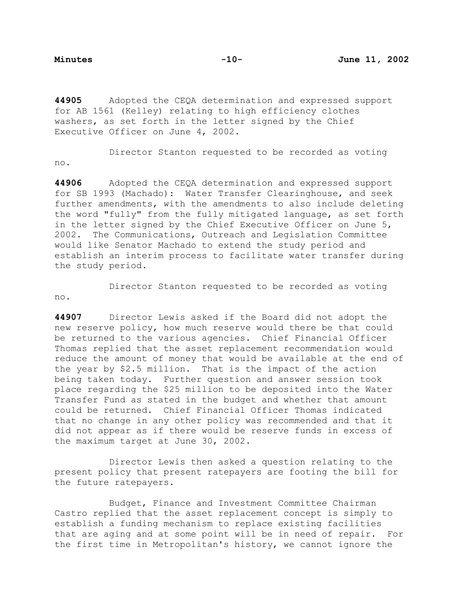**44905** Adopted the CEQA determination and expressed support for AB 1561 (Kelley) relating to high efficiency clothes washers, as set forth in the letter signed by the Chief Executive Officer on June 4, 2002.

 Director Stanton requested to be recorded as voting no.

**44906** Adopted the CEQA determination and expressed support for SB 1993 (Machado): Water Transfer Clearinghouse, and seek further amendments, with the amendments to also include deleting the word "fully" from the fully mitigated language, as set forth in the letter signed by the Chief Executive Officer on June 5, 2002. The Communications, Outreach and Legislation Committee would like Senator Machado to extend the study period and establish an interim process to facilitate water transfer during the study period.

no.

**44907** Director Lewis asked if the Board did not adopt the

Director Stanton requested to be recorded as voting

new reserve policy, how much reserve would there be that could be returned to the various agencies. Chief Financial Officer Thomas replied that the asset replacement recommendation would reduce the amount of money that would be available at the end of the year by \$2.5 million. That is the impact of the action being taken today. Further question and answer session took place regarding the \$25 million to be deposited into the Water Transfer Fund as stated in the budget and whether that amount could be returned. Chief Financial Officer Thomas indicated that no change in any other policy was recommended and that it did not appear as if there would be reserve funds in excess of the maximum target at June 30, 2002.

Director Lewis then asked a question relating to the present policy that present ratepayers are footing the bill for the future ratepayers.

Budget, Finance and Investment Committee Chairman Castro replied that the asset replacement concept is simply to establish a funding mechanism to replace existing facilities that are aging and at some point will be in need of repair. For the first time in Metropolitan's history, we cannot ignore the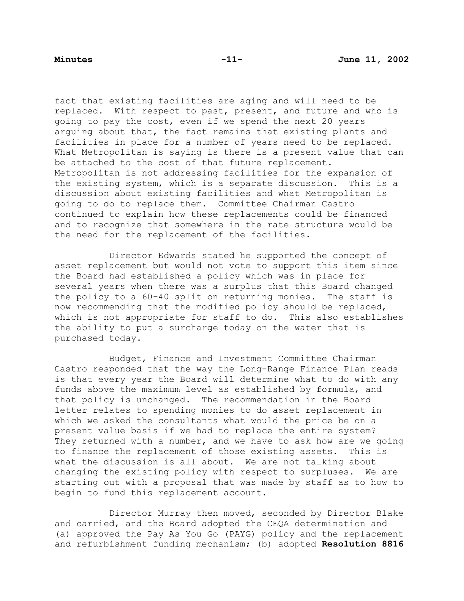fact that existing facilities are aging and will need to be replaced. With respect to past, present, and future and who is going to pay the cost, even if we spend the next 20 years arguing about that, the fact remains that existing plants and facilities in place for a number of years need to be replaced. What Metropolitan is saying is there is a present value that can be attached to the cost of that future replacement. Metropolitan is not addressing facilities for the expansion of the existing system, which is a separate discussion. This is a discussion about existing facilities and what Metropolitan is going to do to replace them. Committee Chairman Castro continued to explain how these replacements could be financed and to recognize that somewhere in the rate structure would be the need for the replacement of the facilities.

 Director Edwards stated he supported the concept of asset replacement but would not vote to support this item since the Board had established a policy which was in place for several years when there was a surplus that this Board changed the policy to a 60-40 split on returning monies. The staff is now recommending that the modified policy should be replaced, which is not appropriate for staff to do. This also establishes the ability to put a surcharge today on the water that is purchased today.

Budget, Finance and Investment Committee Chairman Castro responded that the way the Long-Range Finance Plan reads is that every year the Board will determine what to do with any funds above the maximum level as established by formula, and that policy is unchanged. The recommendation in the Board letter relates to spending monies to do asset replacement in which we asked the consultants what would the price be on a present value basis if we had to replace the entire system? They returned with a number, and we have to ask how are we going to finance the replacement of those existing assets. This is what the discussion is all about. We are not talking about changing the existing policy with respect to surpluses. We are starting out with a proposal that was made by staff as to how to begin to fund this replacement account.

 Director Murray then moved, seconded by Director Blake and carried, and the Board adopted the CEQA determination and (a) approved the Pay As You Go (PAYG) policy and the replacement and refurbishment funding mechanism; (b) adopted **Resolution 8816**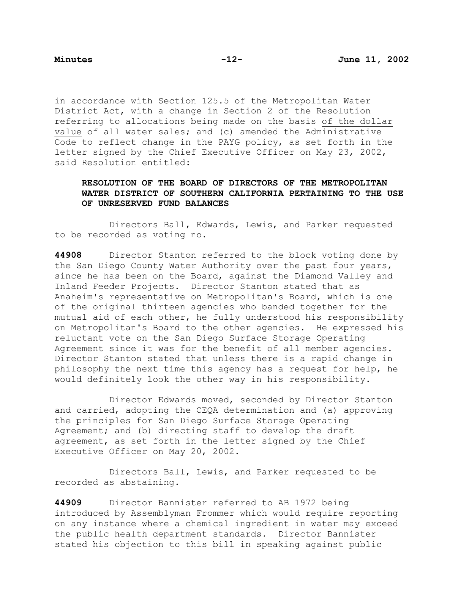in accordance with Section 125.5 of the Metropolitan Water District Act, with a change in Section 2 of the Resolution referring to allocations being made on the basis of the dollar value of all water sales; and (c) amended the Administrative Code to reflect change in the PAYG policy, as set forth in the letter signed by the Chief Executive Officer on May 23, 2002, said Resolution entitled:

# **RESOLUTION OF THE BOARD OF DIRECTORS OF THE METROPOLITAN WATER DISTRICT OF SOUTHERN CALIFORNIA PERTAINING TO THE USE OF UNRESERVED FUND BALANCES**

 Directors Ball, Edwards, Lewis, and Parker requested to be recorded as voting no.

**44908** Director Stanton referred to the block voting done by the San Diego County Water Authority over the past four years, since he has been on the Board, against the Diamond Valley and Inland Feeder Projects. Director Stanton stated that as Anaheim's representative on Metropolitan's Board, which is one of the original thirteen agencies who banded together for the mutual aid of each other, he fully understood his responsibility on Metropolitan's Board to the other agencies. He expressed his reluctant vote on the San Diego Surface Storage Operating Agreement since it was for the benefit of all member agencies. Director Stanton stated that unless there is a rapid change in philosophy the next time this agency has a request for help, he would definitely look the other way in his responsibility.

 Director Edwards moved, seconded by Director Stanton and carried, adopting the CEQA determination and (a) approving the principles for San Diego Surface Storage Operating Agreement; and (b) directing staff to develop the draft agreement, as set forth in the letter signed by the Chief Executive Officer on May 20, 2002.

 Directors Ball, Lewis, and Parker requested to be recorded as abstaining.

**44909** Director Bannister referred to AB 1972 being introduced by Assemblyman Frommer which would require reporting on any instance where a chemical ingredient in water may exceed the public health department standards. Director Bannister stated his objection to this bill in speaking against public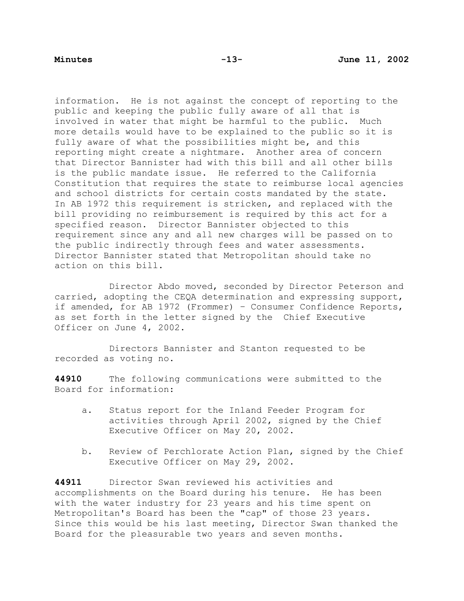information. He is not against the concept of reporting to the public and keeping the public fully aware of all that is involved in water that might be harmful to the public. Much more details would have to be explained to the public so it is fully aware of what the possibilities might be, and this reporting might create a nightmare. Another area of concern that Director Bannister had with this bill and all other bills is the public mandate issue. He referred to the California Constitution that requires the state to reimburse local agencies and school districts for certain costs mandated by the state. In AB 1972 this requirement is stricken, and replaced with the bill providing no reimbursement is required by this act for a specified reason. Director Bannister objected to this requirement since any and all new charges will be passed on to the public indirectly through fees and water assessments. Director Bannister stated that Metropolitan should take no action on this bill.

 Director Abdo moved, seconded by Director Peterson and carried, adopting the CEQA determination and expressing support, if amended, for AB 1972 (Frommer) – Consumer Confidence Reports, as set forth in the letter signed by the Chief Executive Officer on June 4, 2002.

 Directors Bannister and Stanton requested to be recorded as voting no.

**44910** The following communications were submitted to the Board for information:

- a. Status report for the Inland Feeder Program for activities through April 2002, signed by the Chief Executive Officer on May 20, 2002.
- b. Review of Perchlorate Action Plan, signed by the Chief Executive Officer on May 29, 2002.

**44911** Director Swan reviewed his activities and accomplishments on the Board during his tenure. He has been with the water industry for 23 years and his time spent on Metropolitan's Board has been the "cap" of those 23 years. Since this would be his last meeting, Director Swan thanked the Board for the pleasurable two years and seven months.